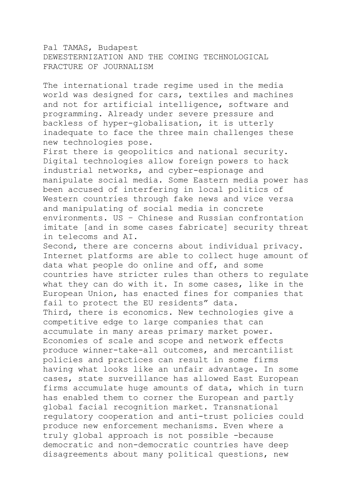Pal TAMAS, Budapest DEWESTERNIZATION AND THE COMING TECHNOLOGICAL FRACTURE OF JOURNALISM

The international trade regime used in the media world was designed for cars, textiles and machines and not for artificial intelligence, software and programming. Already under severe pressure and backless of hyper-globalisation, it is utterly inadequate to face the three main challenges these new technologies pose.

First there is geopolitics and national security. Digital technologies allow foreign powers to hack industrial networks, and cyber-espionage and manipulate social media. Some Eastern media power has been accused of interfering in local politics of Western countries through fake news and vice versa and manipulating of social media in concrete environments. US – Chinese and Russian confrontation imitate [and in some cases fabricate] security threat in telecoms and AI.

Second, there are concerns about individual privacy. Internet platforms are able to collect huge amount of data what people do online and off, and some countries have stricter rules than others to regulate what they can do with it. In some cases, like in the European Union, has enacted fines for companies that fail to protect the EU residents" data. Third, there is economics. New technologies give a competitive edge to large companies that can accumulate in many areas primary market power. Economies of scale and scope and network effects produce winner-take-all outcomes, and mercantilist policies and practices can result in some firms having what looks like an unfair advantage. In some cases, state surveillance has allowed East European firms accumulate huge amounts of data, which in turn has enabled them to corner the European and partly global facial recognition market. Transnational regulatory cooperation and anti-trust policies could produce new enforcement mechanisms. Even where a truly global approach is not possible -because democratic and non-democratic countries have deep disagreements about many political questions, new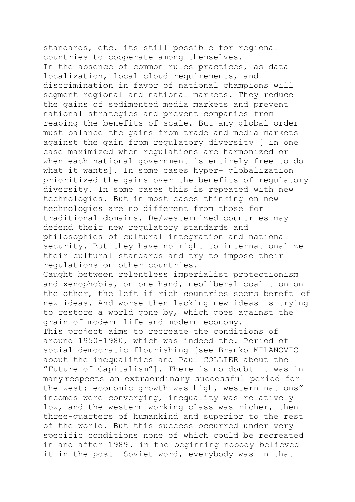standards, etc. its still possible for regional countries to cooperate among themselves. In the absence of common rules practices, as data localization, local cloud requirements, and discrimination in favor of national champions will segment regional and national markets. They reduce the gains of sedimented media markets and prevent national strategies and prevent companies from reaping the benefits of scale. But any global order must balance the gains from trade and media markets against the gain from regulatory diversity [ in one case maximized when regulations are harmonized or when each national government is entirely free to do what it wants]. In some cases hyper- globalization prioritized the gains over the benefits of regulatory diversity. In some cases this is repeated with new technologies. But in most cases thinking on new technologies are no different from those for traditional domains. De/westernized countries may defend their new regulatory standards and philosophies of cultural integration and national security. But they have no right to internationalize their cultural standards and try to impose their regulations on other countries. Caught between relentless imperialist protectionism and xenophobia, on one hand, neoliberal coalition on the other, the left if rich countries seems bereft of new ideas. And worse then lacking new ideas is trying to restore a world gone by, which goes against the grain of modern life and modern economy. This project aims to recreate the conditions of around 1950-1980, which was indeed the. Period of social democratic flourishing [see Branko MILANOVIC about the inequalities and Paul COLLIER about the "Future of Capitalism"]. There is no doubt it was in many respects an extraordinary successful period for the west: economic growth was high, western nations" incomes were converging, inequality was relatively low, and the western working class was richer, then three-quarters of humankind and superior to the rest of the world. But this success occurred under very specific conditions none of which could be recreated in and after 1989. in the beginning nobody believed it in the post -Soviet word, everybody was in that